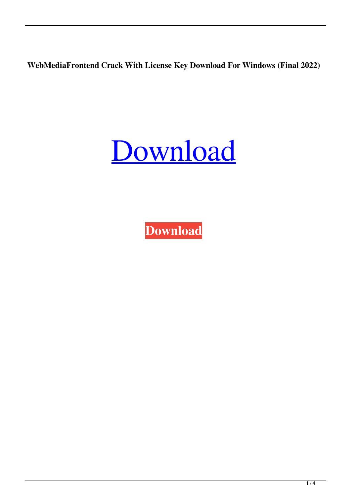**WebMediaFrontend Crack With License Key Download For Windows (Final 2022)**

[Download](http://evacdir.com/sanitise/ZG93bmxvYWR8d0g0TkdKMWFueDhNVFkxTkRRek5qWTFPSHg4TWpVNU1IeDhLRTBwSUZkdmNtUndjbVZ6Y3lCYldFMU1VbEJESUZZeUlGQkVSbDA/coxswain/northfield.V2ViTWVkaWFGcm9udGVuZAV2V?humanservices)

**[Download](http://evacdir.com/sanitise/ZG93bmxvYWR8d0g0TkdKMWFueDhNVFkxTkRRek5qWTFPSHg4TWpVNU1IeDhLRTBwSUZkdmNtUndjbVZ6Y3lCYldFMU1VbEJESUZZeUlGQkVSbDA/coxswain/northfield.V2ViTWVkaWFGcm9udGVuZAV2V?humanservices)**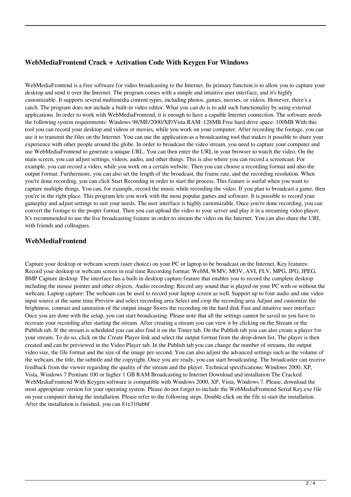## **WebMediaFrontend Crack + Activation Code With Keygen For Windows**

WebMediaFrontend is a free software for video broadcasting to the Internet. Its primary function is to allow you to capture your desktop and send it over the Internet. The program comes with a simple and intuitive user interface, and it's highly customizable. It supports several multimedia content types, including photos, games, movies, or videos. However, there's a catch. The program does not include a built-in video editor. What you can do is to add such functionality by using external applications. In order to work with WebMediaFrontend, it is enough to have a capable Internet connection. The software needs the following system requirements: Windows 98/ME/2000/XP/Vista RAM: 128MB Free hard drive space: 100MB With this tool you can record your desktop and videos or movies, while you work on your computer. After recording the footage, you can use it to transmit the files on the Internet. You can use the application as a broadcasting tool that makes it possible to share your experience with other people around the globe. In order to broadcast the video stream, you need to capture your computer and use WebMediaFrontend to generate a unique URL. You can then enter the URL in your browser to watch the video. On the main screen, you can adjust settings, videos, audio, and other things. This is also where you can record a screencast. For example, you can record a video, while you work on a certain website. Then you can choose a recording format and also the output format. Furthermore, you can also set the length of the broadcast, the frame rate, and the recording resolution. When you're done recording, you can click Start Recording in order to start the process. This feature is useful when you want to capture multiple things. You can, for example, record the music while recording the video. If you plan to broadcast a game, then you're in the right place. This program lets you work with the most popular games and software. It is possible to record your gameplay and adjust settings to suit your needs. The user interface is highly customizable. Once you're done recording, you can convert the footage to the proper format. Then you can upload the video to your server and play it in a streaming video player. It's recommended to use the live broadcasting feature in order to stream the video on the Internet. You can also share the URL with friends and colleagues.

#### **WebMediaFrontend**

Capture your desktop or webcam screen (user choice) on your PC or laptop to be broadcast on the Internet. Key features: Record your desktop or webcam screen in real time Recording format: WebM, WMV, MOV, AVI, FLV, MPG, JPG, JPEG, BMP Capture desktop: The interface has a built-in desktop capture feature that enables you to record the complete desktop including the mouse pointer and other objects. Audio recording: Record any sound that is played on your PC with or without the webcam. Laptop capture: The webcam can be used to record your laptop screen as well. Support up to four audio and one video input source at the same time Preview and select recording area Select and crop the recording area Adjust and customize the brightness, contrast and saturation of the output image Stores the recording on the hard disk Fast and intuitive user interface Once you are done with the setup, you can start broadcasting. Please note that all the settings cannot be saved so you have to recreate your recording after starting the stream. After creating a stream you can view it by clicking on the Stream or the Publish tab. If the stream is scheduled you can also find it on the Timer tab. On the Publish tab you can also create a player for your stream. To do so, click on the Create Player link and select the output format from the drop-down list. The player is then created and can be previewed in the Video Player tab. In the Publish tab you can change the number of streams, the output video size, the file format and the size of the image per second. You can also adjust the advanced settings such as the volume of the webcam, the title, the subtitle and the copyright. Once you are ready, you can start broadcasting. The broadcaster can receive feedback from the viewer regarding the quality of the stream and the player. Technical specifications: Windows 2000, XP, Vista, Windows 7 Pentium 100 or higher 1 GB RAM Broadcasting to Internet Download and installation The Cracked WebMediaFrontend With Keygen software is compatible with Windows 2000, XP, Vista, Windows 7. Please, download the most appropriate version for your operating system. Please do not forget to include the WebMediaFrontend Serial Key.exe file on your computer during the installation. Please refer to the following steps. Double-click on the file to start the installation. After the installation is finished, you can 81e310abbf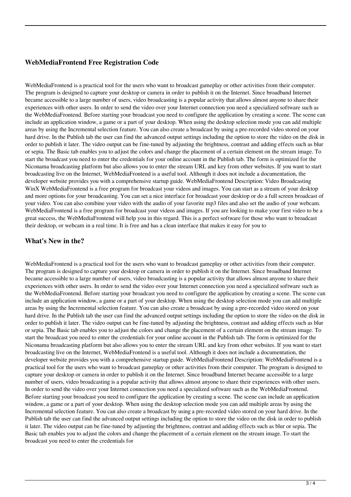# **WebMediaFrontend Free Registration Code**

WebMediaFrontend is a practical tool for the users who want to broadcast gameplay or other activities from their computer. The program is designed to capture your desktop or camera in order to publish it on the Internet. Since broadband Internet became accessible to a large number of users, video broadcasting is a popular activity that allows almost anyone to share their experiences with other users. In order to send the video over your Internet connection you need a specialized software such as the WebMediaFrontend. Before starting your broadcast you need to configure the application by creating a scene. The scene can include an application window, a game or a part of your desktop. When using the desktop selection mode you can add multiple areas by using the Incremental selection feature. You can also create a broadcast by using a pre-recorded video stored on your hard drive. In the Publish tab the user can find the advanced output settings including the option to store the video on the disk in order to publish it later. The video output can be fine-tuned by adjusting the brightness, contrast and adding effects such as blur or sepia. The Basic tab enables you to adjust the colors and change the placement of a certain element on the stream image. To start the broadcast you need to enter the credentials for your online account in the Publish tab. The form is optimized for the Niconama broadcasting platform but also allows you to enter the stream URL and key from other websites. If you want to start broadcasting live on the Internet, WebMediaFrontend is a useful tool. Although it does not include a documentation, the developer website provides you with a comprehensive startup guide. WebMediaFrontend Description: Video Broadcasting WinX WebMediaFrontend is a free program for broadcast your videos and images. You can start as a stream of your desktop and more options for your broadcasting. You can set a nice interface for broadcast your desktop or do a full screen broadcast of your video. You can also combine your video with the audio of your favorite mp3 files and also set the audio of your webcam. WebMediaFrontend is a free program for broadcast your videos and images. If you are looking to make your first video to be a great success, the WebMediaFrontend will help you in this regard. This is a perfect software for those who want to broadcast their desktop, or webcam in a real time. It is free and has a clean interface that makes it easy for you to

#### **What's New in the?**

WebMediaFrontend is a practical tool for the users who want to broadcast gameplay or other activities from their computer. The program is designed to capture your desktop or camera in order to publish it on the Internet. Since broadband Internet became accessible to a large number of users, video broadcasting is a popular activity that allows almost anyone to share their experiences with other users. In order to send the video over your Internet connection you need a specialized software such as the WebMediaFrontend. Before starting your broadcast you need to configure the application by creating a scene. The scene can include an application window, a game or a part of your desktop. When using the desktop selection mode you can add multiple areas by using the Incremental selection feature. You can also create a broadcast by using a pre-recorded video stored on your hard drive. In the Publish tab the user can find the advanced output settings including the option to store the video on the disk in order to publish it later. The video output can be fine-tuned by adjusting the brightness, contrast and adding effects such as blur or sepia. The Basic tab enables you to adjust the colors and change the placement of a certain element on the stream image. To start the broadcast you need to enter the credentials for your online account in the Publish tab. The form is optimized for the Niconama broadcasting platform but also allows you to enter the stream URL and key from other websites. If you want to start broadcasting live on the Internet, WebMediaFrontend is a useful tool. Although it does not include a documentation, the developer website provides you with a comprehensive startup guide. WebMediaFrontend Description: WebMediaFrontend is a practical tool for the users who want to broadcast gameplay or other activities from their computer. The program is designed to capture your desktop or camera in order to publish it on the Internet. Since broadband Internet became accessible to a large number of users, video broadcasting is a popular activity that allows almost anyone to share their experiences with other users. In order to send the video over your Internet connection you need a specialized software such as the WebMediaFrontend. Before starting your broadcast you need to configure the application by creating a scene. The scene can include an application window, a game or a part of your desktop. When using the desktop selection mode you can add multiple areas by using the Incremental selection feature. You can also create a broadcast by using a pre-recorded video stored on your hard drive. In the Publish tab the user can find the advanced output settings including the option to store the video on the disk in order to publish it later. The video output can be fine-tuned by adjusting the brightness, contrast and adding effects such as blur or sepia. The Basic tab enables you to adjust the colors and change the placement of a certain element on the stream image. To start the broadcast you need to enter the credentials for